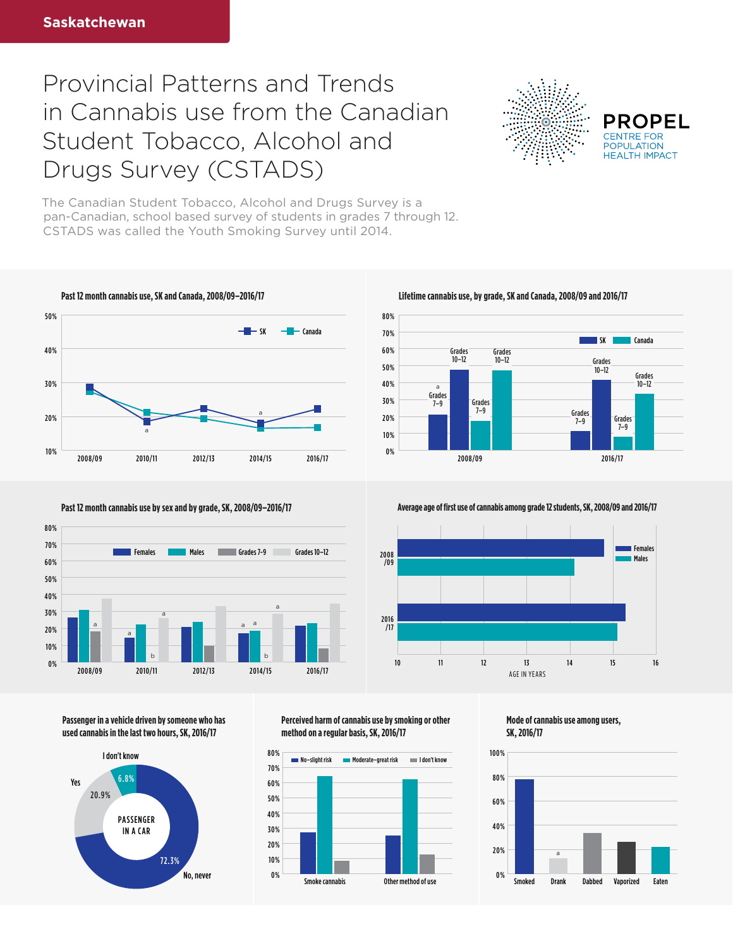## Provincial Patterns and Trends in Cannabis use from the Canadian Student Tobacco, Alcohol and Drugs Survey (CSTADS)



**PROPEL POPULATION HFAITH IMPACT** 

**Females** 

The Canadian Student Tobacco, Alcohol and Drugs Survey is a pan-Canadian, school based survey of students in grades 7 through 12. CSTADS was called the Youth Smoking Survey until 2014.





**Past 12 month cannabis use by sex and by grade, SK, 2008/09–2016/17 Average age of first use of cannabis among grade 12 students, SK, 2008/09 and 2016/17** 







2016 /17

2008<br>2009

**Mode of cannabis use among users, SK, 2016/17**

10 11 12 13 14 15 16

AGE IN YEARS

/09 Males



**Passenger in a vehicle driven by someone who has used cannabis in the last two hours, SK, 2016/17**